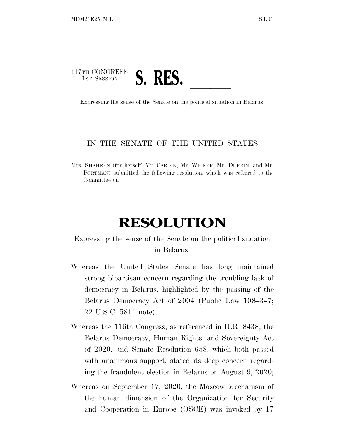## 117TH CONGRESS <sup>1</sup>ST <sup>S</sup>ESSION **S. RES.** ll Expressing the sense of the Senate on the political situation in Belarus.

## IN THE SENATE OF THE UNITED STATES

Mrs. SHAHEEN (for herself, Mr. CARDIN, Mr. WICKER, Mr. DURBIN, and Mr. PORTMAN) submitted the following resolution; which was referred to the Committee on

## **RESOLUTION**

## Expressing the sense of the Senate on the political situation in Belarus.

- Whereas the United States Senate has long maintained strong bipartisan concern regarding the troubling lack of democracy in Belarus, highlighted by the passing of the Belarus Democracy Act of 2004 (Public Law 108–347; 22 U.S.C. 5811 note);
- Whereas the 116th Congress, as referenced in H.R. 8438, the Belarus Democracy, Human Rights, and Sovereignty Act of 2020, and Senate Resolution 658, which both passed with unanimous support, stated its deep concern regarding the fraudulent election in Belarus on August 9, 2020;
- Whereas on September 17, 2020, the Moscow Mechanism of the human dimension of the Organization for Security and Cooperation in Europe (OSCE) was invoked by 17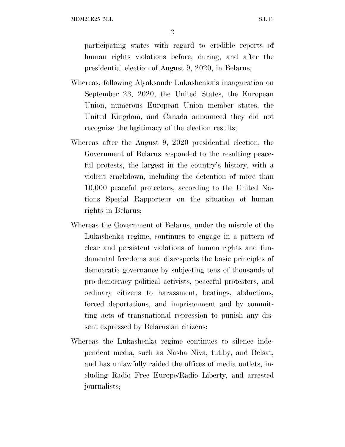MDM21E25 5LL S.L.C.

2

participating states with regard to credible reports of human rights violations before, during, and after the presidential election of August 9, 2020, in Belarus;

- Whereas, following Alyaksandr Lukashenka's inauguration on September 23, 2020, the United States, the European Union, numerous European Union member states, the United Kingdom, and Canada announced they did not recognize the legitimacy of the election results;
- Whereas after the August 9, 2020 presidential election, the Government of Belarus responded to the resulting peaceful protests, the largest in the country's history, with a violent crackdown, including the detention of more than 10,000 peaceful protectors, according to the United Nations Special Rapporteur on the situation of human rights in Belarus;
- Whereas the Government of Belarus, under the misrule of the Lukashenka regime, continues to engage in a pattern of clear and persistent violations of human rights and fundamental freedoms and disrespects the basic principles of democratic governance by subjecting tens of thousands of pro-democracy political activists, peaceful protesters, and ordinary citizens to harassment, beatings, abductions, forced deportations, and imprisonment and by committing acts of transnational repression to punish any dissent expressed by Belarusian citizens;
- Whereas the Lukashenka regime continues to silence independent media, such as Nasha Niva, tut.by, and Belsat, and has unlawfully raided the offices of media outlets, including Radio Free Europe/Radio Liberty, and arrested journalists;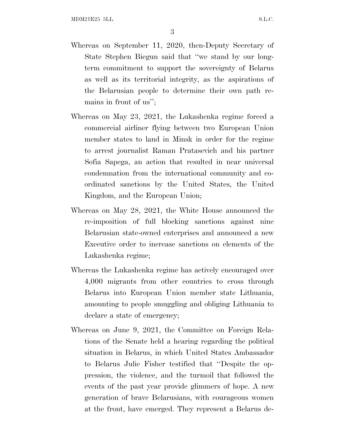- Whereas on September 11, 2020, then-Deputy Secretary of State Stephen Biegun said that ''we stand by our longterm commitment to support the sovereignty of Belarus as well as its territorial integrity, as the aspirations of the Belarusian people to determine their own path remains in front of us'';
- Whereas on May 23, 2021, the Lukashenka regime forced a commercial airliner flying between two European Union member states to land in Minsk in order for the regime to arrest journalist Raman Pratasevich and his partner Sofia Sapega, an action that resulted in near universal condemnation from the international community and coordinated sanctions by the United States, the United Kingdom, and the European Union;
- Whereas on May 28, 2021, the White House announced the re-imposition of full blocking sanctions against nine Belarusian state-owned enterprises and announced a new Executive order to increase sanctions on elements of the Lukashenka regime;
- Whereas the Lukashenka regime has actively encouraged over 4,000 migrants from other countries to cross through Belarus into European Union member state Lithuania, amounting to people smuggling and obliging Lithuania to declare a state of emergency;
- Whereas on June 9, 2021, the Committee on Foreign Relations of the Senate held a hearing regarding the political situation in Belarus, in which United States Ambassador to Belarus Julie Fisher testified that ''Despite the oppression, the violence, and the turmoil that followed the events of the past year provide glimmers of hope. A new generation of brave Belarusians, with courageous women at the front, have emerged. They represent a Belarus de-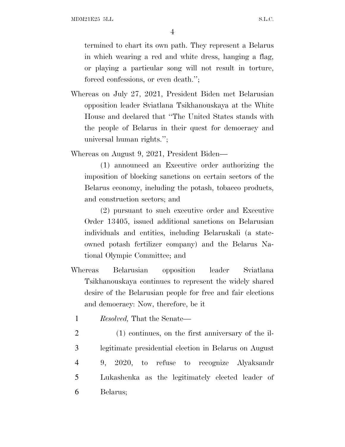MDM21E25 5LL S.L.C.

4

termined to chart its own path. They represent a Belarus in which wearing a red and white dress, hanging a flag, or playing a particular song will not result in torture, forced confessions, or even death.'';

Whereas on July 27, 2021, President Biden met Belarusian opposition leader Sviatlana Tsikhanouskaya at the White House and declared that ''The United States stands with the people of Belarus in their quest for democracy and universal human rights.'';

Whereas on August 9, 2021, President Biden—

(1) announced an Executive order authorizing the imposition of blocking sanctions on certain sectors of the Belarus economy, including the potash, tobacco products, and construction sectors; and

(2) pursuant to such executive order and Executive Order 13405, issued additional sanctions on Belarusian individuals and entities, including Belaruskali (a stateowned potash fertilizer company) and the Belarus National Olympic Committee; and

- Whereas Belarusian opposition leader Sviatlana Tsikhanouskaya continues to represent the widely shared desire of the Belarusian people for free and fair elections and democracy: Now, therefore, be it
	- 1 *Resolved,* That the Senate—
- 2 (1) continues, on the first anniversary of the il-3 legitimate presidential election in Belarus on August 4 9, 2020, to refuse to recognize Alyaksandr 5 Lukashenka as the legitimately elected leader of 6 Belarus;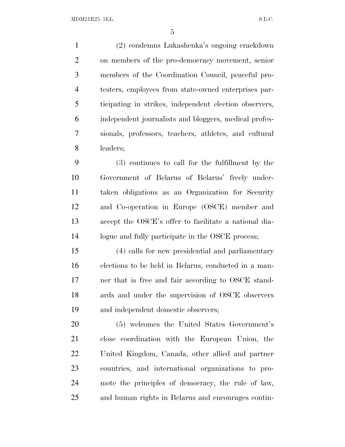(2) condemns Lukashenka's ongoing crackdown on members of the pro-democracy movement, senior members of the Coordination Council, peaceful pro- testers, employees from state-owned enterprises par- ticipating in strikes, independent election observers, independent journalists and bloggers, medical profes- sionals, professors, teachers, athletes, and cultural leaders;

 (3) continues to call for the fulfillment by the Government of Belarus of Belarus' freely under- taken obligations as an Organization for Security and Co-operation in Europe (OSCE) member and accept the OSCE's offer to facilitate a national dia-logue and fully participate in the OSCE process;

 (4) calls for new presidential and parliamentary elections to be held in Belarus, conducted in a man- ner that is free and fair according to OSCE stand- ards and under the supervision of OSCE observers and independent domestic observers;

 (5) welcomes the United States Government's close coordination with the European Union, the United Kingdom, Canada, other allied and partner countries, and international organizations to pro- mote the principles of democracy, the rule of law, and human rights in Belarus and encourages contin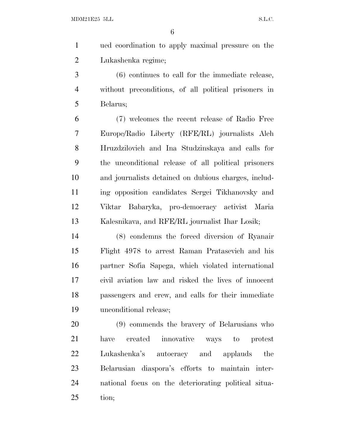ued coordination to apply maximal pressure on the Lukashenka regime;

 (6) continues to call for the immediate release, without preconditions, of all political prisoners in Belarus;

 (7) welcomes the recent release of Radio Free Europe/Radio Liberty (RFE/RL) journalists Aleh Hruzdzilovich and Ina Studzinskaya and calls for the unconditional release of all political prisoners and journalists detained on dubious charges, includ- ing opposition candidates Sergei Tikhanovsky and Viktar Babaryka, pro-democracy activist Maria Kalesnikava, and RFE/RL journalist Ihar Losik;

 (8) condemns the forced diversion of Ryanair Flight 4978 to arrest Raman Pratasevich and his partner Sofia Sapega, which violated international civil aviation law and risked the lives of innocent passengers and crew, and calls for their immediate unconditional release;

 (9) commends the bravery of Belarusians who have created innovative ways to protest Lukashenka's autocracy and applauds the Belarusian diaspora's efforts to maintain inter- national focus on the deteriorating political situa-tion;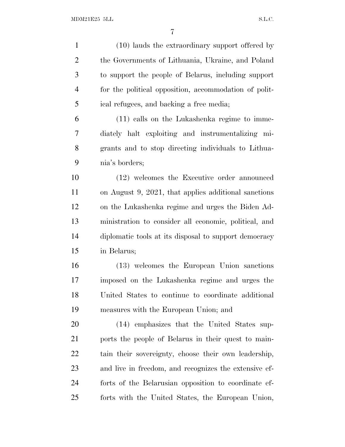(10) lauds the extraordinary support offered by the Governments of Lithuania, Ukraine, and Poland to support the people of Belarus, including support for the political opposition, accommodation of polit- ical refugees, and backing a free media; (11) calls on the Lukashenka regime to imme- diately halt exploiting and instrumentalizing mi- grants and to stop directing individuals to Lithua- nia's borders; (12) welcomes the Executive order announced on August 9, 2021, that applies additional sanctions on the Lukashenka regime and urges the Biden Ad- ministration to consider all economic, political, and diplomatic tools at its disposal to support democracy in Belarus; (13) welcomes the European Union sanctions imposed on the Lukashenka regime and urges the United States to continue to coordinate additional measures with the European Union; and (14) emphasizes that the United States sup- ports the people of Belarus in their quest to main- tain their sovereignty, choose their own leadership, and live in freedom, and recognizes the extensive ef-forts of the Belarusian opposition to coordinate ef-

forts with the United States, the European Union,